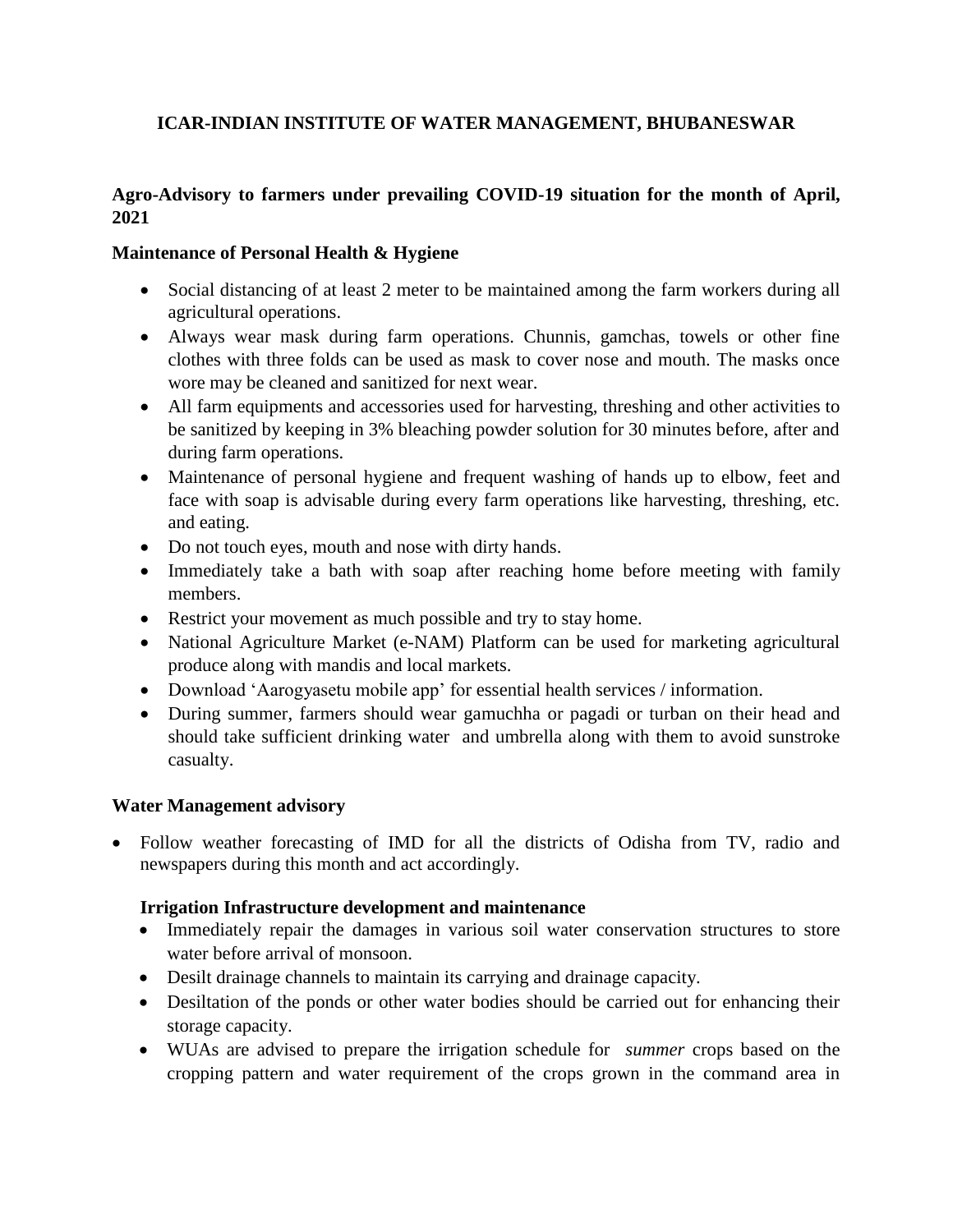# **ICAR-INDIAN INSTITUTE OF WATER MANAGEMENT, BHUBANESWAR**

## **Agro-Advisory to farmers under prevailing COVID-19 situation for the month of April, 2021**

## **Maintenance of Personal Health & Hygiene**

- Social distancing of at least 2 meter to be maintained among the farm workers during all agricultural operations.
- Always wear mask during farm operations. Chunnis, gamchas, towels or other fine clothes with three folds can be used as mask to cover nose and mouth. The masks once wore may be cleaned and sanitized for next wear.
- All farm equipments and accessories used for harvesting, threshing and other activities to be sanitized by keeping in 3% bleaching powder solution for 30 minutes before, after and during farm operations.
- Maintenance of personal hygiene and frequent washing of hands up to elbow, feet and face with soap is advisable during every farm operations like harvesting, threshing, etc. and eating.
- Do not touch eyes, mouth and nose with dirty hands.
- Immediately take a bath with soap after reaching home before meeting with family members.
- Restrict your movement as much possible and try to stay home.
- National Agriculture Market (e-NAM) Platform can be used for marketing agricultural produce along with mandis and local markets.
- Download 'Aarogyasetu mobile app' for essential health services / information.
- During summer, farmers should wear gamuchha or pagadi or turban on their head and should take sufficient drinking water and umbrella along with them to avoid sunstroke casualty.

### **Water Management advisory**

• Follow weather forecasting of IMD for all the districts of Odisha from TV, radio and newspapers during this month and act accordingly.

### **Irrigation Infrastructure development and maintenance**

- Immediately repair the damages in various soil water conservation structures to store water before arrival of monsoon.
- Desilt drainage channels to maintain its carrying and drainage capacity.
- Desiltation of the ponds or other water bodies should be carried out for enhancing their storage capacity.
- WUAs are advised to prepare the irrigation schedule for *summer* crops based on the cropping pattern and water requirement of the crops grown in the command area in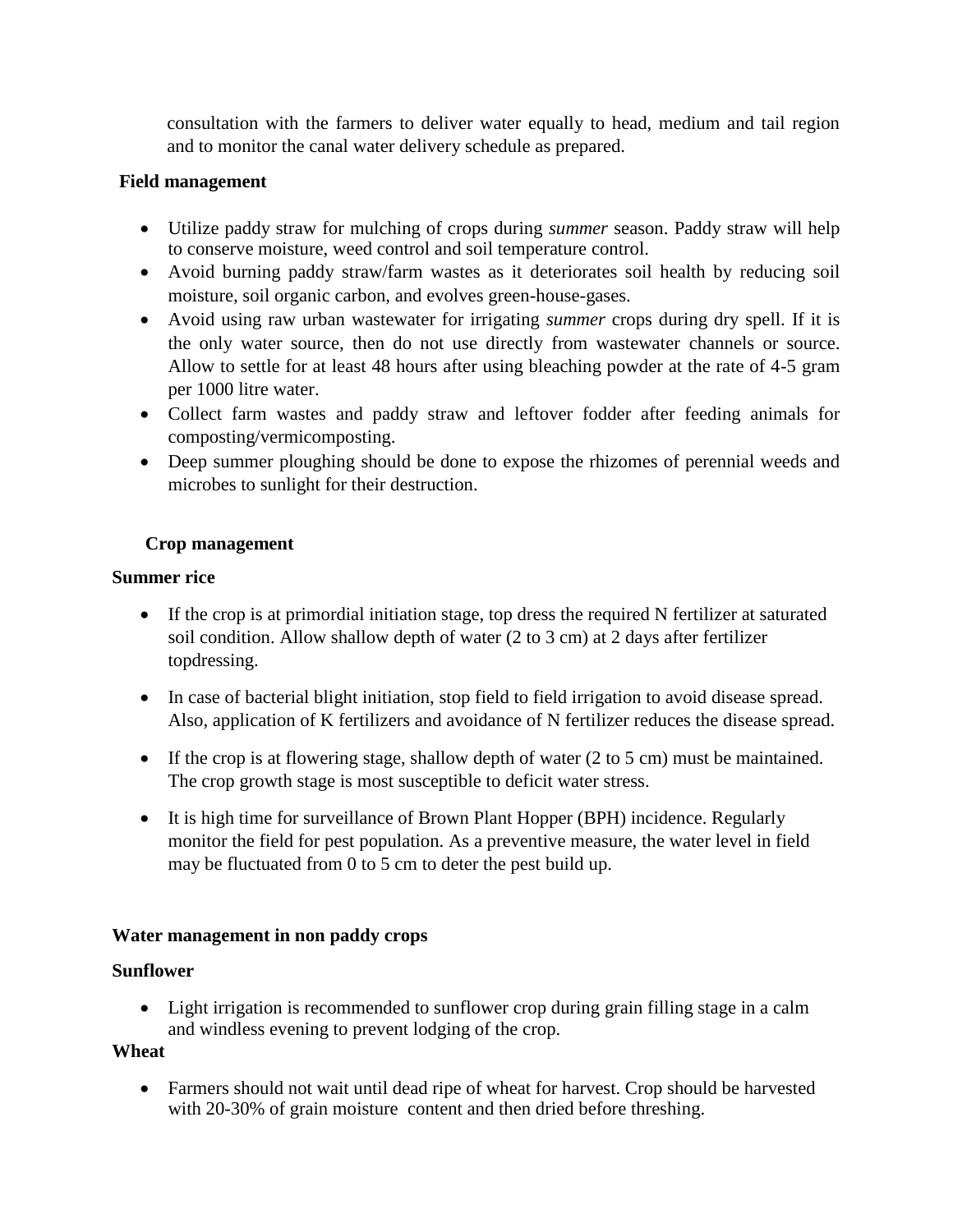consultation with the farmers to deliver water equally to head, medium and tail region and to monitor the canal water delivery schedule as prepared.

### **Field management**

- Utilize paddy straw for mulching of crops during *summer* season. Paddy straw will help to conserve moisture, weed control and soil temperature control.
- Avoid burning paddy straw/farm wastes as it deteriorates soil health by reducing soil moisture, soil organic carbon, and evolves green-house-gases.
- Avoid using raw urban wastewater for irrigating *summer* crops during dry spell. If it is the only water source, then do not use directly from wastewater channels or source. Allow to settle for at least 48 hours after using bleaching powder at the rate of 4-5 gram per 1000 litre water.
- Collect farm wastes and paddy straw and leftover fodder after feeding animals for composting/vermicomposting.
- Deep summer ploughing should be done to expose the rhizomes of perennial weeds and microbes to sunlight for their destruction.

### **Crop management**

#### **Summer rice**

- If the crop is at primordial initiation stage, top dress the required N fertilizer at saturated soil condition. Allow shallow depth of water (2 to 3 cm) at 2 days after fertilizer topdressing.
- In case of bacterial blight initiation, stop field to field irrigation to avoid disease spread. Also, application of K fertilizers and avoidance of N fertilizer reduces the disease spread.
- If the crop is at flowering stage, shallow depth of water  $(2 \text{ to } 5 \text{ cm})$  must be maintained. The crop growth stage is most susceptible to deficit water stress.
- It is high time for surveillance of Brown Plant Hopper (BPH) incidence. Regularly monitor the field for pest population. As a preventive measure, the water level in field may be fluctuated from 0 to 5 cm to deter the pest build up.

### **Water management in non paddy crops**

### **Sunflower**

• Light irrigation is recommended to sunflower crop during grain filling stage in a calm and windless evening to prevent lodging of the crop.

#### **Wheat**

 Farmers should not wait until dead ripe of wheat for harvest. Crop should be harvested with 20-30% of grain moisture content and then dried before threshing.